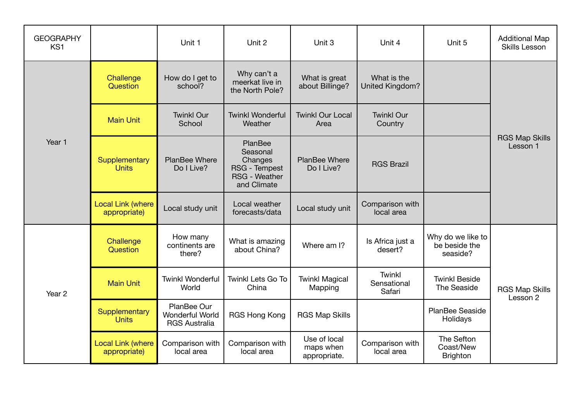| <b>GEOGRAPHY</b><br>KS <sub>1</sub> |                                          | Unit 1                                                 | Unit 2                                                                                 | Unit 3                                    | Unit 4                                 | Unit 5                                         | <b>Additional Map</b><br><b>Skills Lesson</b> |  |
|-------------------------------------|------------------------------------------|--------------------------------------------------------|----------------------------------------------------------------------------------------|-------------------------------------------|----------------------------------------|------------------------------------------------|-----------------------------------------------|--|
| Year 1                              | Challenge<br>Question                    | How do I get to<br>school?                             | Why can't a<br>meerkat live in<br>the North Pole?                                      | What is great<br>about Billinge?          | What is the<br>United Kingdom?         |                                                | <b>RGS Map Skills</b><br>Lesson 1             |  |
|                                     | <b>Main Unit</b>                         | <b>Twinkl Our</b><br>School                            | <b>Twinkl Wonderful</b><br>Weather                                                     | <b>Twinkl Our Local</b><br>Area           | <b>Twinkl Our</b><br>Country           |                                                |                                               |  |
|                                     | Supplementary<br><b>Units</b>            | PlanBee Where<br>Do I Live?                            | PlanBee<br>Seasonal<br>Changes<br>RSG - Tempest<br><b>RSG - Weather</b><br>and Climate | <b>PlanBee Where</b><br>Do I Live?        | <b>RGS Brazil</b>                      |                                                |                                               |  |
|                                     | <b>Local Link (where</b><br>appropriate) | Local study unit                                       | Local weather<br>forecasts/data                                                        | Local study unit                          | Comparison with<br>local area          |                                                |                                               |  |
| Year 2                              | Challenge<br>Question                    | How many<br>continents are<br>there?                   | What is amazing<br>about China?                                                        | Where am I?                               | Is Africa just a<br>desert?            | Why do we like to<br>be beside the<br>seaside? |                                               |  |
|                                     | <b>Main Unit</b>                         | <b>Twinkl Wonderful</b><br>World                       | <b>Twinkl Lets Go To</b><br>China                                                      | <b>Twinkl Magical</b><br>Mapping          | <b>Twinkl</b><br>Sensational<br>Safari | <b>Twinkl Beside</b><br>The Seaside            | <b>RGS Map Skills</b><br>Lesson 2             |  |
|                                     | Supplementary<br><b>Units</b>            | PlanBee Our<br>Wonderful World<br><b>RGS Australia</b> | RGS Hong Kong                                                                          | <b>RGS Map Skills</b>                     |                                        | PlanBee Seaside<br>Holidays                    |                                               |  |
|                                     | <b>Local Link (where</b><br>appropriate) | Comparison with<br>local area                          | Comparison with<br>local area                                                          | Use of local<br>maps when<br>appropriate. | Comparison with<br>local area          | The Sefton<br>Coast/New<br><b>Brighton</b>     |                                               |  |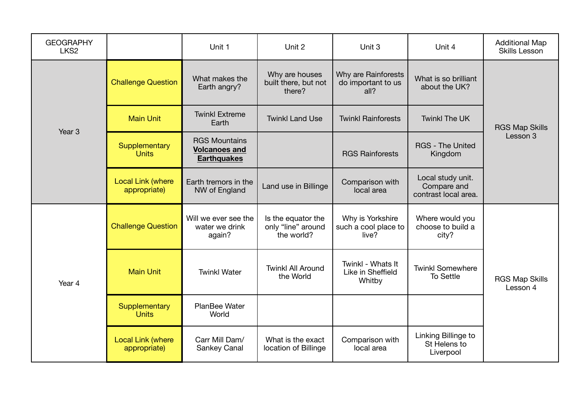| <b>GEOGRAPHY</b><br>LKS <sub>2</sub> |                                          | Unit 1                                                             | Unit 2                                                 | Unit 3                                            | Unit 4                                                   | <b>Additional Map</b><br>Skills Lesson |  |
|--------------------------------------|------------------------------------------|--------------------------------------------------------------------|--------------------------------------------------------|---------------------------------------------------|----------------------------------------------------------|----------------------------------------|--|
| Year <sub>3</sub>                    | <b>Challenge Question</b>                | What makes the<br>Earth angry?                                     | Why are houses<br>built there, but not<br>there?       | Why are Rainforests<br>do important to us<br>all? | What is so brilliant<br>about the UK?                    |                                        |  |
|                                      | <b>Main Unit</b>                         | <b>Twinkl Extreme</b><br>Earth                                     | <b>Twinkl Land Use</b>                                 | <b>Twinkl Rainforests</b>                         | <b>Twinkl The UK</b>                                     | <b>RGS Map Skills</b>                  |  |
|                                      | Supplementary<br><b>Units</b>            | <b>RGS Mountains</b><br><b>Volcanoes and</b><br><b>Earthquakes</b> |                                                        | <b>RGS Rainforests</b>                            | <b>RGS - The United</b><br>Kingdom                       | Lesson 3                               |  |
|                                      | <b>Local Link (where</b><br>appropriate) | Earth tremors in the<br>NW of England                              | Land use in Billinge                                   | Comparison with<br>local area                     | Local study unit.<br>Compare and<br>contrast local area. |                                        |  |
| Year 4                               | <b>Challenge Question</b>                | Will we ever see the<br>water we drink<br>again?                   | Is the equator the<br>only "line" around<br>the world? | Why is Yorkshire<br>such a cool place to<br>live? | Where would you<br>choose to build a<br>city?            |                                        |  |
|                                      | <b>Main Unit</b>                         | <b>Twinkl Water</b>                                                | <b>Twinkl All Around</b><br>the World                  | Twinkl - Whats It<br>Like in Sheffield<br>Whitby  | <b>Twinkl Somewhere</b><br><b>To Settle</b>              | <b>RGS Map Skills</b><br>Lesson 4      |  |
|                                      | Supplementary<br><b>Units</b>            | PlanBee Water<br>World                                             |                                                        |                                                   |                                                          |                                        |  |
|                                      | <b>Local Link (where</b><br>appropriate) | Carr Mill Dam/<br>Sankey Canal                                     | What is the exact<br>location of Billinge              | Comparison with<br>local area                     | Linking Billinge to<br>St Helens to<br>Liverpool         |                                        |  |